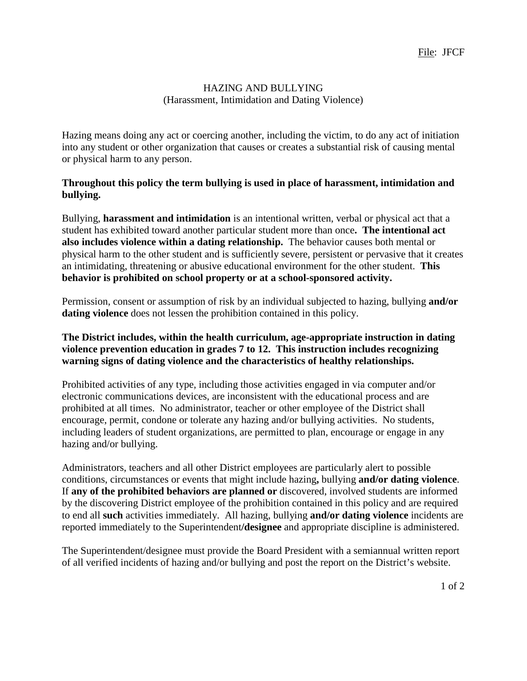### HAZING AND BULLYING (Harassment, Intimidation and Dating Violence)

Hazing means doing any act or coercing another, including the victim, to do any act of initiation into any student or other organization that causes or creates a substantial risk of causing mental or physical harm to any person.

# **Throughout this policy the term bullying is used in place of harassment, intimidation and bullying.**

Bullying, **harassment and intimidation** is an intentional written, verbal or physical act that a student has exhibited toward another particular student more than once**. The intentional act also includes violence within a dating relationship.** The behavior causes both mental or physical harm to the other student and is sufficiently severe, persistent or pervasive that it creates an intimidating, threatening or abusive educational environment for the other student. **This behavior is prohibited on school property or at a school-sponsored activity.**

Permission, consent or assumption of risk by an individual subjected to hazing, bullying **and/or dating violence** does not lessen the prohibition contained in this policy.

## **The District includes, within the health curriculum, age-appropriate instruction in dating violence prevention education in grades 7 to 12. This instruction includes recognizing warning signs of dating violence and the characteristics of healthy relationships.**

Prohibited activities of any type, including those activities engaged in via computer and/or electronic communications devices, are inconsistent with the educational process and are prohibited at all times. No administrator, teacher or other employee of the District shall encourage, permit, condone or tolerate any hazing and/or bullying activities. No students, including leaders of student organizations, are permitted to plan, encourage or engage in any hazing and/or bullying.

Administrators, teachers and all other District employees are particularly alert to possible conditions, circumstances or events that might include hazing**,** bullying **and/or dating violence**. If **any of the prohibited behaviors are planned or** discovered, involved students are informed by the discovering District employee of the prohibition contained in this policy and are required to end all **such** activities immediately. All hazing, bullying **and/or dating violence** incidents are reported immediately to the Superintendent**/designee** and appropriate discipline is administered.

The Superintendent/designee must provide the Board President with a semiannual written report of all verified incidents of hazing and/or bullying and post the report on the District's website.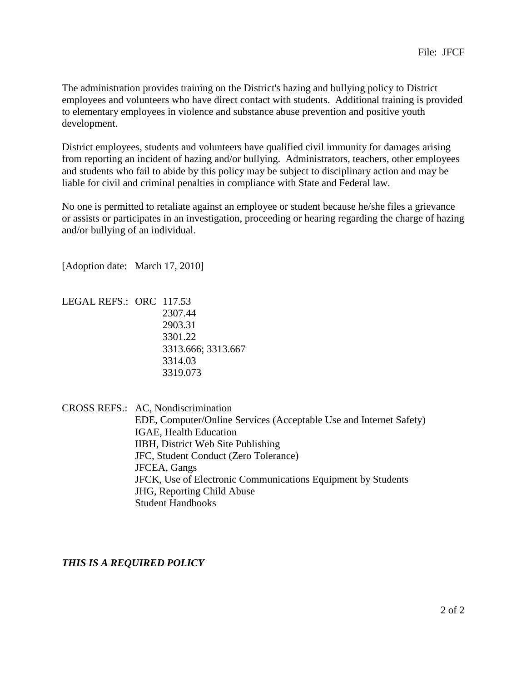The administration provides training on the District's hazing and bullying policy to District employees and volunteers who have direct contact with students. Additional training is provided to elementary employees in violence and substance abuse prevention and positive youth development.

District employees, students and volunteers have qualified civil immunity for damages arising from reporting an incident of hazing and/or bullying. Administrators, teachers, other employees and students who fail to abide by this policy may be subject to disciplinary action and may be liable for civil and criminal penalties in compliance with State and Federal law.

No one is permitted to retaliate against an employee or student because he/she files a grievance or assists or participates in an investigation, proceeding or hearing regarding the charge of hazing and/or bullying of an individual.

[Adoption date: March 17, 2010]

```
LEGAL REFS.: ORC 117.53
        2307.44
        2903.31
         3301.22
        3313.666; 3313.667
        3314.03
        3319.073
```
CROSS REFS.: AC, Nondiscrimination

EDE, Computer/Online Services (Acceptable Use and Internet Safety) IGAE, Health Education IIBH, District Web Site Publishing JFC, Student Conduct (Zero Tolerance) JFCEA, Gangs JFCK, Use of Electronic Communications Equipment by Students JHG, Reporting Child Abuse Student Handbooks

*THIS IS A REQUIRED POLICY*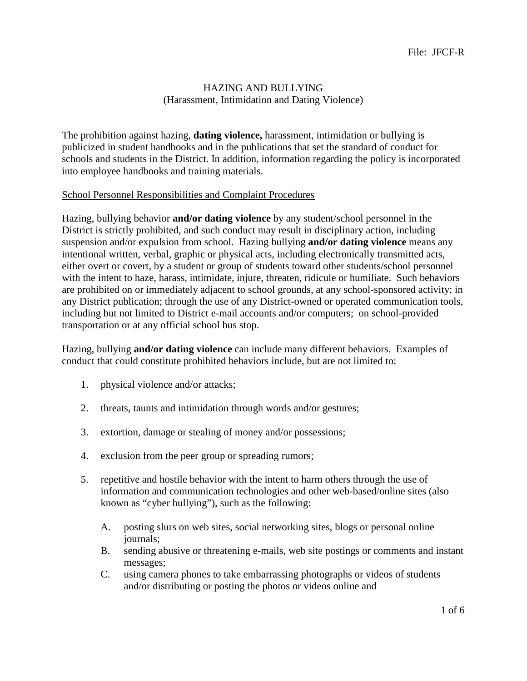### HAZING AND BULLYING (Harassment, Intimidation and Dating Violence)

The prohibition against hazing, **dating violence,** harassment, intimidation or bullying is publicized in student handbooks and in the publications that set the standard of conduct for schools and students in the District. In addition, information regarding the policy is incorporated into employee handbooks and training materials.

### School Personnel Responsibilities and Complaint Procedures

Hazing, bullying behavior **and/or dating violence** by any student/school personnel in the District is strictly prohibited, and such conduct may result in disciplinary action, including suspension and/or expulsion from school. Hazing bullying **and/or dating violence** means any intentional written, verbal, graphic or physical acts, including electronically transmitted acts, either overt or covert, by a student or group of students toward other students/school personnel with the intent to haze, harass, intimidate, injure, threaten, ridicule or humiliate. Such behaviors are prohibited on or immediately adjacent to school grounds, at any school-sponsored activity; in any District publication; through the use of any District-owned or operated communication tools, including but not limited to District e-mail accounts and/or computers; on school-provided transportation or at any official school bus stop.

Hazing, bullying **and/or dating violence** can include many different behaviors. Examples of conduct that could constitute prohibited behaviors include, but are not limited to:

- 1. physical violence and/or attacks;
- 2. threats, taunts and intimidation through words and/or gestures;
- 3. extortion, damage or stealing of money and/or possessions;
- 4. exclusion from the peer group or spreading rumors;
- 5. repetitive and hostile behavior with the intent to harm others through the use of information and communication technologies and other web-based/online sites (also known as "cyber bullying"), such as the following:
	- A. posting slurs on web sites, social networking sites, blogs or personal online journals;
	- B. sending abusive or threatening e-mails, web site postings or comments and instant messages;
	- C. using camera phones to take embarrassing photographs or videos of students and/or distributing or posting the photos or videos online and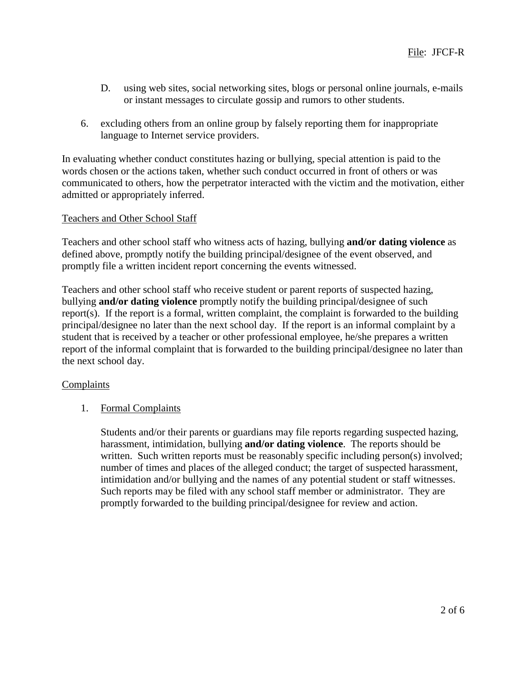- D. using web sites, social networking sites, blogs or personal online journals, e-mails or instant messages to circulate gossip and rumors to other students.
- 6. excluding others from an online group by falsely reporting them for inappropriate language to Internet service providers.

In evaluating whether conduct constitutes hazing or bullying, special attention is paid to the words chosen or the actions taken, whether such conduct occurred in front of others or was communicated to others, how the perpetrator interacted with the victim and the motivation, either admitted or appropriately inferred.

### Teachers and Other School Staff

Teachers and other school staff who witness acts of hazing, bullying **and/or dating violence** as defined above, promptly notify the building principal/designee of the event observed, and promptly file a written incident report concerning the events witnessed.

Teachers and other school staff who receive student or parent reports of suspected hazing, bullying **and/or dating violence** promptly notify the building principal/designee of such report(s). If the report is a formal, written complaint, the complaint is forwarded to the building principal/designee no later than the next school day. If the report is an informal complaint by a student that is received by a teacher or other professional employee, he/she prepares a written report of the informal complaint that is forwarded to the building principal/designee no later than the next school day.

### Complaints

### 1. Formal Complaints

Students and/or their parents or guardians may file reports regarding suspected hazing, harassment, intimidation, bullying **and/or dating violence**. The reports should be written. Such written reports must be reasonably specific including person(s) involved; number of times and places of the alleged conduct; the target of suspected harassment, intimidation and/or bullying and the names of any potential student or staff witnesses. Such reports may be filed with any school staff member or administrator. They are promptly forwarded to the building principal/designee for review and action.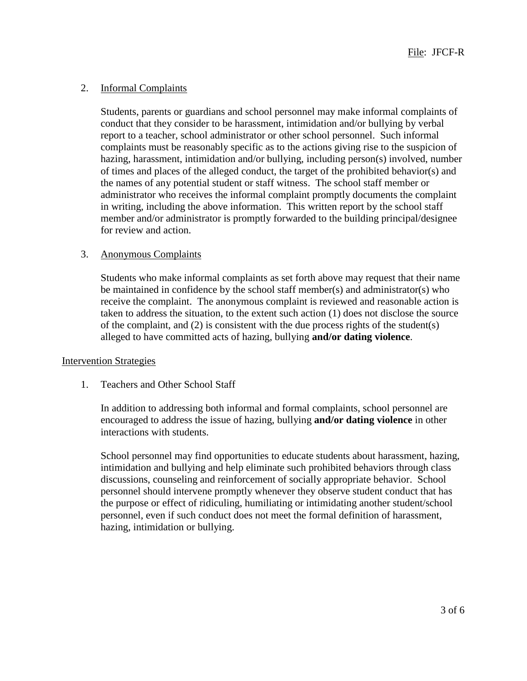### 2. Informal Complaints

Students, parents or guardians and school personnel may make informal complaints of conduct that they consider to be harassment, intimidation and/or bullying by verbal report to a teacher, school administrator or other school personnel. Such informal complaints must be reasonably specific as to the actions giving rise to the suspicion of hazing, harassment, intimidation and/or bullying, including person(s) involved, number of times and places of the alleged conduct, the target of the prohibited behavior(s) and the names of any potential student or staff witness. The school staff member or administrator who receives the informal complaint promptly documents the complaint in writing, including the above information. This written report by the school staff member and/or administrator is promptly forwarded to the building principal/designee for review and action.

### 3. Anonymous Complaints

Students who make informal complaints as set forth above may request that their name be maintained in confidence by the school staff member(s) and administrator(s) who receive the complaint. The anonymous complaint is reviewed and reasonable action is taken to address the situation, to the extent such action (1) does not disclose the source of the complaint, and  $(2)$  is consistent with the due process rights of the student(s) alleged to have committed acts of hazing, bullying **and/or dating violence**.

#### Intervention Strategies

1. Teachers and Other School Staff

In addition to addressing both informal and formal complaints, school personnel are encouraged to address the issue of hazing, bullying **and/or dating violence** in other interactions with students.

School personnel may find opportunities to educate students about harassment, hazing, intimidation and bullying and help eliminate such prohibited behaviors through class discussions, counseling and reinforcement of socially appropriate behavior. School personnel should intervene promptly whenever they observe student conduct that has the purpose or effect of ridiculing, humiliating or intimidating another student/school personnel, even if such conduct does not meet the formal definition of harassment, hazing, intimidation or bullying.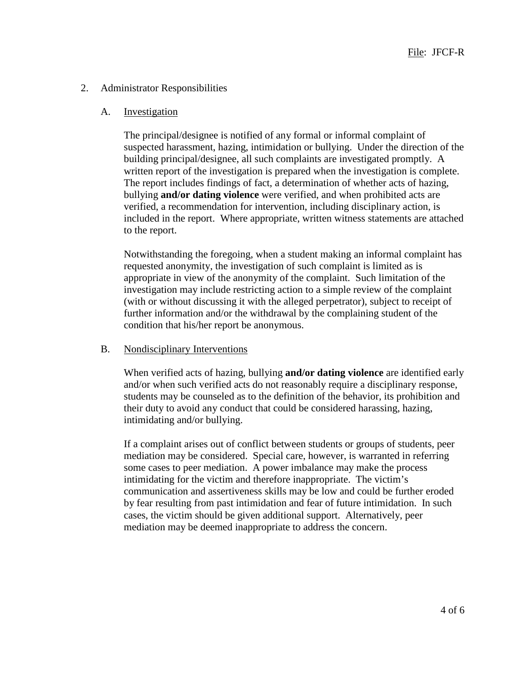### 2. Administrator Responsibilities

### A. Investigation

The principal/designee is notified of any formal or informal complaint of suspected harassment, hazing, intimidation or bullying. Under the direction of the building principal/designee, all such complaints are investigated promptly. A written report of the investigation is prepared when the investigation is complete. The report includes findings of fact, a determination of whether acts of hazing, bullying **and/or dating violence** were verified, and when prohibited acts are verified, a recommendation for intervention, including disciplinary action, is included in the report. Where appropriate, written witness statements are attached to the report.

Notwithstanding the foregoing, when a student making an informal complaint has requested anonymity, the investigation of such complaint is limited as is appropriate in view of the anonymity of the complaint. Such limitation of the investigation may include restricting action to a simple review of the complaint (with or without discussing it with the alleged perpetrator), subject to receipt of further information and/or the withdrawal by the complaining student of the condition that his/her report be anonymous.

### B. Nondisciplinary Interventions

When verified acts of hazing, bullying **and/or dating violence** are identified early and/or when such verified acts do not reasonably require a disciplinary response, students may be counseled as to the definition of the behavior, its prohibition and their duty to avoid any conduct that could be considered harassing, hazing, intimidating and/or bullying.

If a complaint arises out of conflict between students or groups of students, peer mediation may be considered. Special care, however, is warranted in referring some cases to peer mediation. A power imbalance may make the process intimidating for the victim and therefore inappropriate. The victim's communication and assertiveness skills may be low and could be further eroded by fear resulting from past intimidation and fear of future intimidation. In such cases, the victim should be given additional support. Alternatively, peer mediation may be deemed inappropriate to address the concern.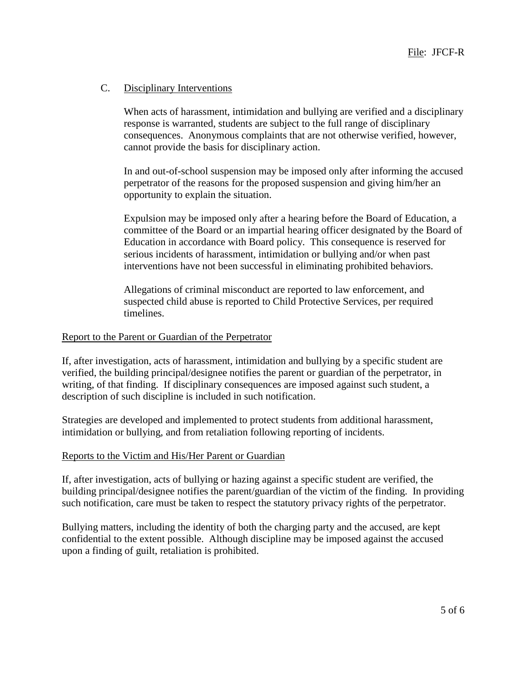### C. Disciplinary Interventions

When acts of harassment, intimidation and bullying are verified and a disciplinary response is warranted, students are subject to the full range of disciplinary consequences. Anonymous complaints that are not otherwise verified, however, cannot provide the basis for disciplinary action.

In and out-of-school suspension may be imposed only after informing the accused perpetrator of the reasons for the proposed suspension and giving him/her an opportunity to explain the situation.

Expulsion may be imposed only after a hearing before the Board of Education, a committee of the Board or an impartial hearing officer designated by the Board of Education in accordance with Board policy. This consequence is reserved for serious incidents of harassment, intimidation or bullying and/or when past interventions have not been successful in eliminating prohibited behaviors.

Allegations of criminal misconduct are reported to law enforcement, and suspected child abuse is reported to Child Protective Services, per required timelines.

### Report to the Parent or Guardian of the Perpetrator

If, after investigation, acts of harassment, intimidation and bullying by a specific student are verified, the building principal/designee notifies the parent or guardian of the perpetrator, in writing, of that finding. If disciplinary consequences are imposed against such student, a description of such discipline is included in such notification.

Strategies are developed and implemented to protect students from additional harassment, intimidation or bullying, and from retaliation following reporting of incidents.

### Reports to the Victim and His/Her Parent or Guardian

If, after investigation, acts of bullying or hazing against a specific student are verified, the building principal/designee notifies the parent/guardian of the victim of the finding. In providing such notification, care must be taken to respect the statutory privacy rights of the perpetrator.

Bullying matters, including the identity of both the charging party and the accused, are kept confidential to the extent possible. Although discipline may be imposed against the accused upon a finding of guilt, retaliation is prohibited.